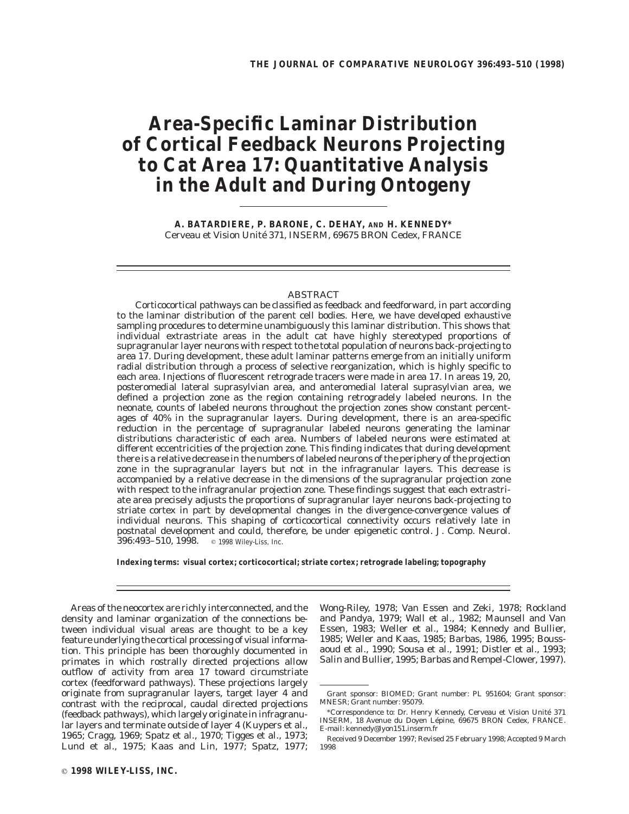# **Area-Specific Laminar Distribution of Cortical Feedback Neurons Projecting to Cat Area 17: Quantitative Analysis in the Adult and During Ontogeny**

**A. BATARDIERE, P. BARONE, C. DEHAY, AND H. KENNEDY\*** Cerveau et Vision Unité 371, INSERM, 69675 BRON Cedex, FRANCE

#### ABSTRACT

Corticocortical pathways can be classified as feedback and feedforward, in part according to the laminar distribution of the parent cell bodies. Here, we have developed exhaustive sampling procedures to determine unambiguously this laminar distribution. This shows that individual extrastriate areas in the adult cat have highly stereotyped proportions of supragranular layer neurons with respect to the total population of neurons back-projecting to area 17. During development, these adult laminar patterns emerge from an initially uniform radial distribution through a process of selective reorganization, which is highly specific to each area. Injections of fluorescent retrograde tracers were made in area 17. In areas 19, 20, posteromedial lateral suprasylvian area, and anteromedial lateral suprasylvian area, we defined a projection zone as the region containing retrogradely labeled neurons. In the neonate, counts of labeled neurons throughout the projection zones show constant percentages of 40% in the supragranular layers. During development, there is an area-specific reduction in the percentage of supragranular labeled neurons generating the laminar distributions characteristic of each area. Numbers of labeled neurons were estimated at different eccentricities of the projection zone. This finding indicates that during development there is a relative decrease in the numbers of labeled neurons of the periphery of the projection zone in the supragranular layers but not in the infragranular layers. This decrease is accompanied by a relative decrease in the dimensions of the supragranular projection zone with respect to the infragranular projection zone. These findings suggest that each extrastriate area precisely adjusts the proportions of supragranular layer neurons back-projecting to striate cortex in part by developmental changes in the divergence-convergence values of individual neurons. This shaping of corticocortical connectivity occurs relatively late in postnatal development and could, therefore, be under epigenetic control. J. Comp. Neurol. 396:493-510, 1998. <br>
© 1998 Wiley-Liss, Inc.

**Indexing terms: visual cortex; corticocortical; striate cortex; retrograde labeling; topography**

Areas of the neocortex are richly interconnected, and the density and laminar organization of the connections between individual visual areas are thought to be a key feature underlying the cortical processing of visual information. This principle has been thoroughly documented in primates in which rostrally directed projections allow outflow of activity from area 17 toward circumstriate cortex (feedforward pathways). These projections largely originate from supragranular layers, target layer 4 and contrast with the reciprocal, caudal directed projections (feedback pathways), which largely originate in infragranular layers and terminate outside of layer 4 (Kuypers et al., 1965; Cragg, 1969; Spatz et al., 1970; Tigges et al., 1973; Lund et al., 1975; Kaas and Lin, 1977; Spatz, 1977; Wong-Riley, 1978; Van Essen and Zeki, 1978; Rockland and Pandya, 1979; Wall et al., 1982; Maunsell and Van Essen, 1983; Weller et al., 1984; Kennedy and Bullier, 1985; Weller and Kaas, 1985; Barbas, 1986, 1995; Boussaoud et al., 1990; Sousa et al., 1991; Distler et al., 1993; Salin and Bullier, 1995; Barbas and Rempel-Clower, 1997).

Grant sponsor: BIOMED; Grant number: PL 951604; Grant sponsor: MNESR; Grant number: 95079.

<sup>\*</sup>Correspondence to: Dr. Henry Kennedy, Cerveau et Vision Unite´ 371 INSERM, 18 Avenue du Doyen Lépine, 69675 BRON Cedex, FRANCE. E-mail: kennedy@lyon151.inserm.fr

Received 9 December 1997; Revised 25 February 1998; Accepted 9 March 1998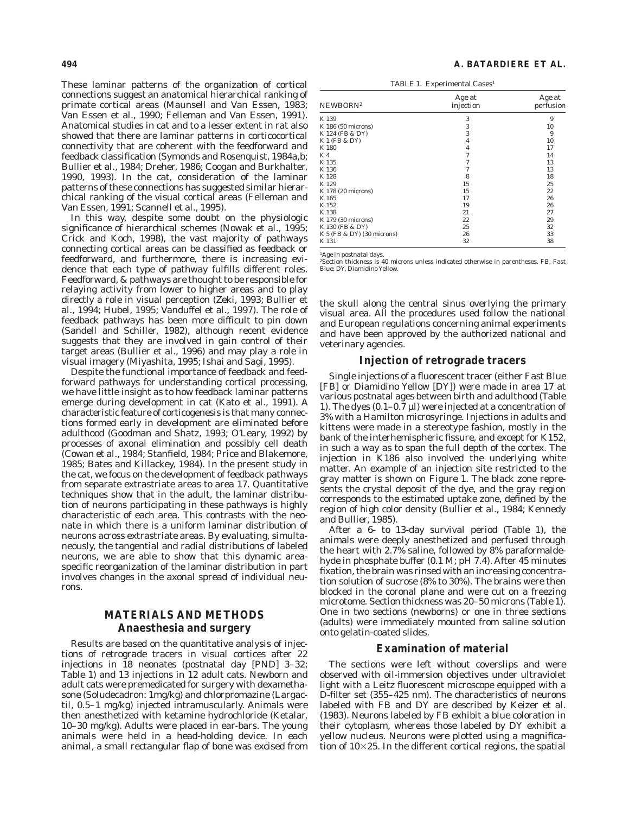These laminar patterns of the organization of cortical connections suggest an anatomical hierarchical ranking of primate cortical areas (Maunsell and Van Essen, 1983; Van Essen et al., 1990; Felleman and Van Essen, 1991). Anatomical studies in cat and to a lesser extent in rat also showed that there are laminar patterns in corticocortical connectivity that are coherent with the feedforward and feedback classification (Symonds and Rosenquist, 1984a,b; Bullier et al., 1984; Dreher, 1986; Coogan and Burkhalter, 1990, 1993). In the cat, consideration of the laminar patterns of these connections has suggested similar hierarchical ranking of the visual cortical areas (Felleman and Van Essen, 1991; Scannell et al., 1995).

In this way, despite some doubt on the physiologic significance of hierarchical schemes (Nowak et al., 1995; Crick and Koch, 1998), the vast majority of pathways connecting cortical areas can be classified as feedback or feedforward, and furthermore, there is increasing evidence that each type of pathway fulfills different roles. Feedforward, & pathways are thought to be responsible for relaying activity from lower to higher areas and to play directly a role in visual perception (Zeki, 1993; Bullier et al., 1994; Hubel, 1995; Vanduffel et al., 1997). The role of feedback pathways has been more difficult to pin down (Sandell and Schiller, 1982), although recent evidence suggests that they are involved in gain control of their target areas (Bullier et al., 1996) and may play a role in visual imagery (Miyashita, 1995; Ishai and Sagi, 1995).

Despite the functional importance of feedback and feedforward pathways for understanding cortical processing, we have little insight as to how feedback laminar patterns emerge during development in cat (Kato et al., 1991). A characteristic feature of corticogenesis is that many connections formed early in development are eliminated before adulthood (Goodman and Shatz, 1993; O'Leary, 1992) by processes of axonal elimination and possibly cell death (Cowan et al., 1984; Stanfield, 1984; Price and Blakemore, 1985; Bates and Killackey, 1984). In the present study in the cat, we focus on the development of feedback pathways from separate extrastriate areas to area 17. Quantitative techniques show that in the adult, the laminar distribution of neurons participating in these pathways is highly characteristic of each area. This contrasts with the neonate in which there is a uniform laminar distribution of neurons across extrastriate areas. By evaluating, simultaneously, the tangential and radial distributions of labeled neurons, we are able to show that this dynamic areaspecific reorganization of the laminar distribution in part involves changes in the axonal spread of individual neurons.

# **MATERIALS AND METHODS Anaesthesia and surgery**

Results are based on the quantitative analysis of injections of retrograde tracers in visual cortices after 22 injections in 18 neonates (postnatal day [PND] 3–32; Table 1) and 13 injections in 12 adult cats. Newborn and adult cats were premedicated for surgery with dexamethasone (Soludecadron: 1mg/kg) and chlorpromazine (Largactil, 0.5–1 mg/kg) injected intramuscularly. Animals were then anesthetized with ketamine hydrochloride (Ketalar, 10–30 mg/kg). Adults were placed in ear-bars. The young animals were held in a head-holding device. In each animal, a small rectangular flap of bone was excised from

| NEWBORN <sup>2</sup>        | Age at<br>injection | Age at<br>perfusion |  |
|-----------------------------|---------------------|---------------------|--|
| K 139                       | 3                   | 9                   |  |
| K 186 (50 microns)          | 3                   | 10                  |  |
| K 124 (FB & DY)             | 3                   | 9                   |  |
| K 1 (FB & DY)               | $\overline{4}$      | 10                  |  |
| K 180                       | $\overline{4}$      | 17                  |  |
| K 4                         | $\overline{7}$      | 14                  |  |
| K 135                       | 7                   | 13                  |  |
| K 136                       | 7                   | 13                  |  |
| K 128                       | 8                   | 18                  |  |
| K 129                       | 15                  | 25                  |  |
| K 178 (20 microns)          | 15                  | 22                  |  |
| K 165                       | 17                  | 26                  |  |
| K 152                       | 19                  | 26                  |  |
| K 138                       | 21                  | 27                  |  |
| K 179 (30 microns)          | 22                  | 29                  |  |
| K 130 (FB & DY)             | 25                  | 32                  |  |
| $K5$ (FB & DY) (30 microns) | 26                  | 33                  |  |
| K 131                       | 32                  | 38                  |  |

Age in postnatal days.

2Section thickness is 40 microns unless indicated otherwise in parentheses. FB, Fast Blue; DY, Diamidino Yellow.

the skull along the central sinus overlying the primary visual area. All the procedures used follow the national and European regulations concerning animal experiments and have been approved by the authorized national and veterinary agencies.

#### **Injection of retrograde tracers**

Single injections of a fluorescent tracer (either Fast Blue [FB] or Diamidino Yellow [DY]) were made in area 17 at various postnatal ages between birth and adulthood (Table 1). The dyes  $(0.1-0.\overline{7} \mu l)$  were injected at a concentration of 3% with a Hamilton microsyringe. Injections in adults and kittens were made in a stereotype fashion, mostly in the bank of the interhemispheric fissure, and except for K152, in such a way as to span the full depth of the cortex. The injection in K186 also involved the underlying white matter. An example of an injection site restricted to the gray matter is shown on Figure 1. The black zone represents the crystal deposit of the dye, and the gray region corresponds to the estimated uptake zone, defined by the region of high color density (Bullier et al., 1984; Kennedy and Bullier, 1985).

After a 6- to 13-day survival period (Table 1), the animals were deeply anesthetized and perfused through the heart with 2.7% saline, followed by 8% paraformaldehyde in phosphate buffer (0.1 M; pH 7.4). After 45 minutes fixation, the brain was rinsed with an increasing concentration solution of sucrose (8% to 30%). The brains were then blocked in the coronal plane and were cut on a freezing microtome. Section thickness was 20–50 microns (Table 1). One in two sections (newborns) or one in three sections (adults) were immediately mounted from saline solution onto gelatin-coated slides.

#### **Examination of material**

The sections were left without coverslips and were observed with oil-immersion objectives under ultraviolet light with a Leitz fluorescent microscope equipped with a D-filter set (355–425 nm). The characteristics of neurons labeled with FB and DY are described by Keizer et al. (1983). Neurons labeled by FB exhibit a blue coloration in their cytoplasm, whereas those labeled by DY exhibit a yellow nucleus. Neurons were plotted using a magnification of  $10\times25$ . In the different cortical regions, the spatial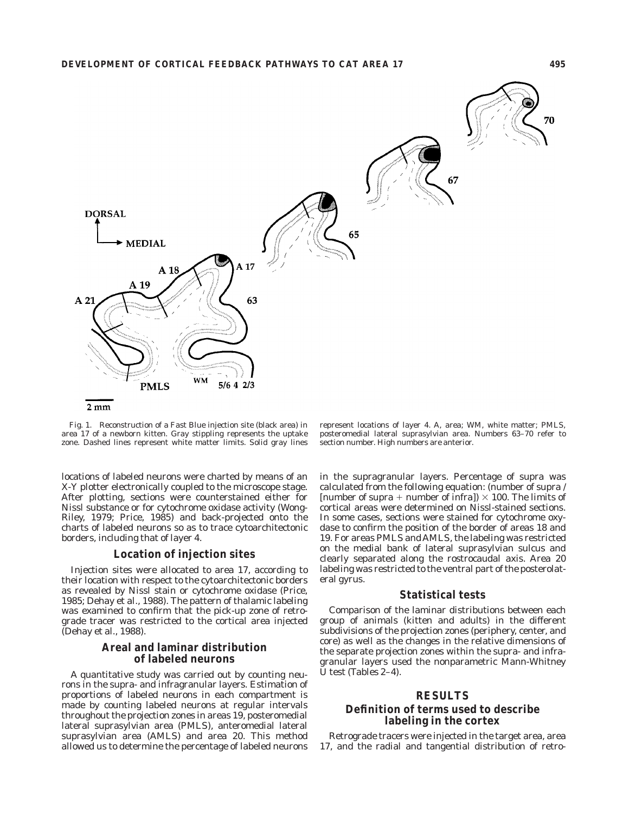

Fig. 1. Reconstruction of a Fast Blue injection site (black area) in area 17 of a newborn kitten. Gray stippling represents the uptake zone. Dashed lines represent white matter limits. Solid gray lines

locations of labeled neurons were charted by means of an X-Y plotter electronically coupled to the microscope stage. After plotting, sections were counterstained either for Nissl substance or for cytochrome oxidase activity (Wong-Riley, 1979; Price, 1985) and back-projected onto the charts of labeled neurons so as to trace cytoarchitectonic borders, including that of layer 4.

## **Location of injection sites**

Injection sites were allocated to area 17, according to their location with respect to the cytoarchitectonic borders as revealed by Nissl stain or cytochrome oxidase (Price, 1985; Dehay et al., 1988). The pattern of thalamic labeling was examined to confirm that the pick-up zone of retrograde tracer was restricted to the cortical area injected (Dehay et al., 1988).

#### **Areal and laminar distribution of labeled neurons**

A quantitative study was carried out by counting neurons in the supra- and infragranular layers. Estimation of proportions of labeled neurons in each compartment is made by counting labeled neurons at regular intervals throughout the projection zones in areas 19, posteromedial lateral suprasylvian area (PMLS), anteromedial lateral suprasylvian area (AMLS) and area 20. This method allowed us to determine the percentage of labeled neurons represent locations of layer 4. A, area; WM, white matter; PMLS, posteromedial lateral suprasylvian area. Numbers 63–70 refer to section number. High numbers are anterior.

in the supragranular layers. Percentage of supra was calculated from the following equation: (number of supra / [number of supra + number of infra])  $\times$  100. The limits of cortical areas were determined on Nissl-stained sections. In some cases, sections were stained for cytochrome oxydase to confirm the position of the border of areas 18 and 19. For areas PMLS and AMLS, the labeling was restricted on the medial bank of lateral suprasylvian sulcus and clearly separated along the rostrocaudal axis. Area 20 labeling was restricted to the ventral part of the posterolateral gyrus.

## **Statistical tests**

Comparison of the laminar distributions between each group of animals (kitten and adults) in the different subdivisions of the projection zones (periphery, center, and core) as well as the changes in the relative dimensions of the separate projection zones within the supra- and infragranular layers used the nonparametric Mann-Whitney U test (Tables 2–4).

## **RESULTS Definition of terms used to describe labeling in the cortex**

Retrograde tracers were injected in the target area, area 17, and the radial and tangential distribution of retro-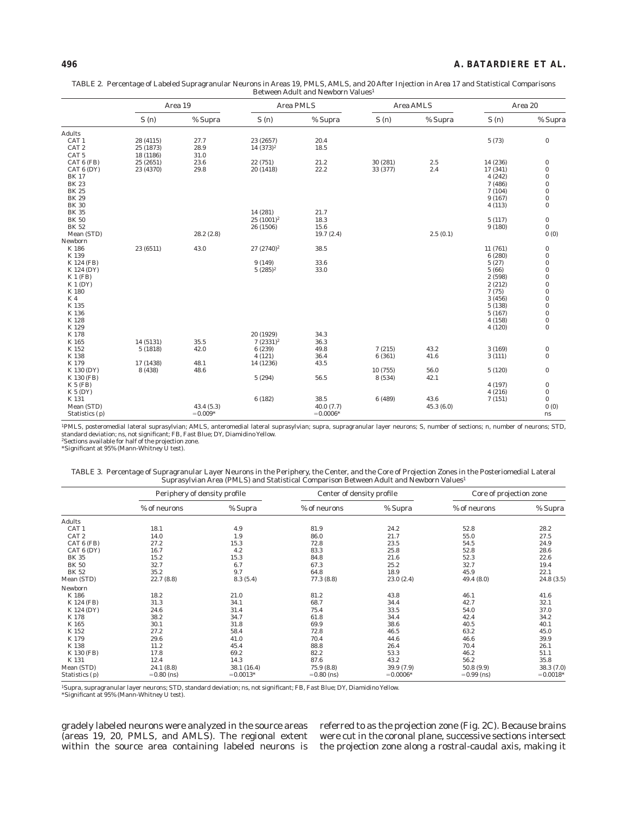## **496 A. BATARDIERE ET AL.**

| TABLE 2. Percentage of Labeled Supragranular Neurons in Areas 19, PMLS, AMLS, and 20 After Injection in Area 17 and Statistical Comparisons |
|---------------------------------------------------------------------------------------------------------------------------------------------|
| Between Adult and Newborn Values <sup>1</sup>                                                                                               |

|                  | Area 19   |            | Area PMLS              |             | Area AMLS |           | Area 20  |                  |
|------------------|-----------|------------|------------------------|-------------|-----------|-----------|----------|------------------|
|                  | S(n)      | % Supra    | S(n)                   | % Supra     | S(n)      | % Supra   | S(n)     | % Supra          |
| <b>Adults</b>    |           |            |                        |             |           |           |          |                  |
| CAT <sub>1</sub> | 28 (4115) | 27.7       | 23 (2657)              | 20.4        |           |           | 5(73)    | $\bf{0}$         |
| CAT <sub>2</sub> | 25 (1873) | 28.9       | $14(373)^2$            | 18.5        |           |           |          |                  |
| CAT <sub>5</sub> | 18 (1186) | 31.0       |                        |             |           |           |          |                  |
| CAT 6 (FB)       | 25 (2651) | 23.6       | 22 (751)               | 21.2        | 30 (281)  | $2.5\,$   | 14 (236) | $\bf{0}$         |
| CAT 6 (DY)       | 23 (4370) | 29.8       | 20 (1418)              | 22.2        | 33 (377)  | 2.4       | 17 (341) | $\boldsymbol{0}$ |
| <b>BK17</b>      |           |            |                        |             |           |           | 4(242)   | $\boldsymbol{0}$ |
| <b>BK23</b>      |           |            |                        |             |           |           | 7(486)   | $\bf{0}$         |
| <b>BK 25</b>     |           |            |                        |             |           |           | 7(104)   | $\bf{0}$         |
| <b>BK 29</b>     |           |            |                        |             |           |           | 9(167)   | $\boldsymbol{0}$ |
| <b>BK30</b>      |           |            |                        |             |           |           | 4(113)   | $\bf{0}$         |
| <b>BK35</b>      |           |            | 14 (281)               | 21.7        |           |           |          |                  |
| <b>BK 50</b>     |           |            | $25(1001)^2$           | 18.3        |           |           | 5(117)   | $\bf{0}$         |
| <b>BK 52</b>     |           |            | 26 (1506)              | 15.6        |           |           | 9(180)   | $\bf{0}$         |
| Mean (STD)       |           | 28.2(2.8)  |                        | 19.7(2.4)   |           | 2.5(0.1)  |          | 0(0)             |
| Newborn          |           |            |                        |             |           |           |          |                  |
| K 186            | 23 (6511) | 43.0       | 27 (2740) <sup>2</sup> | 38.5        |           |           | 11 (761) | $\bf{0}$         |
| K 139            |           |            |                        |             |           |           | 6 (280)  | $\boldsymbol{0}$ |
| K 124 (FB)       |           |            | 9(149)                 | 33.6        |           |           | 5(27)    | $\boldsymbol{0}$ |
| K 124 (DY)       |           |            | $5(285)^2$             | 33.0        |           |           | 5(66)    | $\boldsymbol{0}$ |
| $K 1$ (FB)       |           |            |                        |             |           |           | 2 (598)  | $\boldsymbol{0}$ |
| K 1 (DY)         |           |            |                        |             |           |           | 2(212)   | $\bf{0}$         |
| K 180            |           |            |                        |             |           |           | 7(75)    | $\boldsymbol{0}$ |
| <b>K4</b>        |           |            |                        |             |           |           | 3 (456)  | $\boldsymbol{0}$ |
| K 135            |           |            |                        |             |           |           | 5(138)   | $\boldsymbol{0}$ |
| K 136            |           |            |                        |             |           |           | 5(167)   | $\bf{0}$         |
| K 128            |           |            |                        |             |           |           | 4(158)   | $\boldsymbol{0}$ |
| K 129            |           |            |                        |             |           |           | 4(120)   | $\bf{0}$         |
| K 178            |           |            | 20 (1929)              | 34.3        |           |           |          |                  |
|                  |           |            |                        | 36.3        |           |           |          |                  |
| K 165            | 14 (5131) | 35.5       | $7(2331)^2$            |             |           |           |          |                  |
| K 152            | 5(1818)   | 42.0       | 6 (239)                | 49.8        | 7(215)    | 43.2      | 3(169)   | $\bf{0}$         |
| K 138            |           |            | 4(121)                 | 36.4        | 6(361)    | 41.6      | 3(111)   | $\boldsymbol{0}$ |
| K 179            | 17 (1438) | 48.1       | 14 (1236)              | 43.5        |           |           |          |                  |
| K 130 (DY)       | 8 (438)   | 48.6       |                        |             | 10 (755)  | 56.0      | 5(120)   | $\bf{0}$         |
| K 130 (FB)       |           |            | 5(294)                 | 56.5        | 8 (534)   | 42.1      |          |                  |
| $K 5$ (FB)       |           |            |                        |             |           |           | 4 (197)  | $\bf{0}$         |
| K 5 (DY)         |           |            |                        |             |           |           | 4(216)   | $\bf{0}$         |
| K 131            |           |            | 6(182)                 | 38.5        | 6 (489)   | 43.6      | 7(151)   | $\bf{0}$         |
| Mean (STD)       |           | 43.4(5.3)  |                        | 40.0(7.7)   |           | 45.3(6.0) |          | 0(0)             |
| Statistics $(p)$ |           | $= 0.009*$ |                        | $= 0.0006*$ |           |           |          | ns               |

<sup>1</sup>PMLS, posteromedial lateral suprasylvian; AMLS, anteromedial lateral suprasylvian; supra, supragranular layer neurons; S, number of sections; n, number of neurons; STD,<br>standard deviation; ns, not significant; FB, Fast

TABLE 3. Percentage of Supragranular Layer Neurons in the Periphery, the Center, and the Core of Projection Zones in the Posteriomedial Lateral<br>Suprasylvian Area (PMLS) and Statistical Comparison Between Adult and Newborn

|                  | Periphery of density profile |             | Center of density profile |             | Core of projection zone |            |
|------------------|------------------------------|-------------|---------------------------|-------------|-------------------------|------------|
|                  | % of neurons                 | % Supra     | % of neurons              | % Supra     | % of neurons            | % Supra    |
| Adults           |                              |             |                           |             |                         |            |
| CAT <sub>1</sub> | 18.1                         | 4.9         | 81.9                      | 24.2        | 52.8                    | 28.2       |
| CAT <sub>2</sub> | 14.0                         | 1.9         | 86.0                      | 21.7        | 55.0                    | 27.5       |
| $CAT 6$ (FB)     | 27.2                         | 15.3        | 72.8                      | 23.5        | 54.5                    | 24.9       |
| CAT 6 (DY)       | 16.7                         | 4.2         | 83.3                      | 25.8        | 52.8                    | 28.6       |
| <b>BK 35</b>     | 15.2                         | 15.3        | 84.8                      | 21.6        | 52.3                    | 22.6       |
| <b>BK 50</b>     | 32.7                         | 6.7         | 67.3                      | 25.2        | 32.7                    | 19.4       |
| <b>BK 52</b>     | 35.2                         | 9.7         | 64.8                      | 18.9        | 45.9                    | 22.1       |
| Mean (STD)       | 22.7(8.8)                    | 8.3(5.4)    | 77.3 (8.8)                | 23.0(2.4)   | 49.4(8.0)               | 24.8(3.5)  |
| Newborn          |                              |             |                           |             |                         |            |
| K 186            | 18.2                         | 21.0        | 81.2                      | 43.8        | 46.1                    | 41.6       |
| K 124 (FB)       | 31.3                         | 34.1        | 68.7                      | 34.4        | 42.7                    | 32.1       |
| K 124 (DY)       | 24.6                         | 31.4        | 75.4                      | 33.5        | 54.0                    | 37.0       |
| K 178            | 38.2                         | 34.7        | 61.8                      | 34.4        | 42.4                    | 34.2       |
| K 165            | 30.1                         | 31.8        | 69.9                      | 38.6        | 40.5                    | 40.1       |
| K 152            | 27.2                         | 58.4        | 72.8                      | 46.5        | 63.2                    | 45.0       |
| K 179            | 29.6                         | 41.0        | 70.4                      | 44.6        | 46.6                    | 39.9       |
| K 138            | 11.2                         | 45.4        | 88.8                      | 26.4        | 70.4                    | 26.1       |
| K 130 (FB)       | 17.8                         | 69.2        | 82.2                      | 53.3        | 46.2                    | 51.1       |
| K 131            | 12.4                         | 14.3        | 87.6                      | 43.2        | 56.2                    | 35.8       |
| Mean (STD)       | 24.1(8.8)                    | 38.1 (16.4) | 75.9(8.8)                 | 39.9(7.9)   | 50.8(9.9)               | 38.3 (7.0) |
| Statistics $(p)$ | $= 0.80$ (ns)                | $= 0.0013*$ | $= 0.80$ (ns)             | $= 0.0006*$ | $= 0.99$ (ns)           | $=0.0018*$ |

1Supra, supragranular layer neurons; STD, standard deviation; ns, not significant; FB, Fast Blue; DY, Diamidino Yellow.

\*Significant at 95% (Mann-Whitney U test).

gradely labeled neurons were analyzed in the source areas (areas 19, 20, PMLS, and AMLS). The regional extent within the source area containing labeled neurons is

referred to as the projection zone (Fig. 2C). Because brains were cut in the coronal plane, successive sections intersect the projection zone along a rostral-caudal axis, making it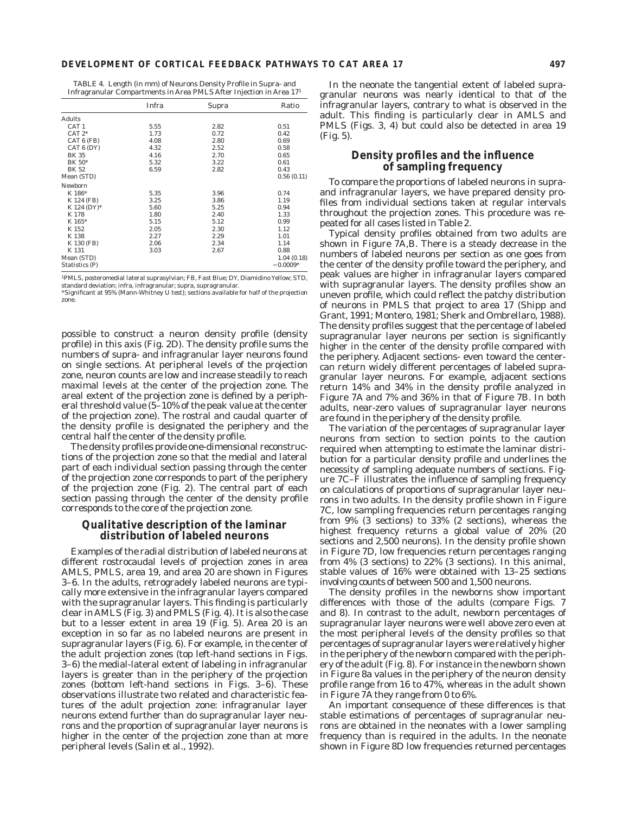TABLE 4. Length (in mm) of Neurons Density Profile in Supra- and Infragranular Compartments in Area PMLS After Injection in Area 171

|                  | Infra | Supra | Ratio       |  |
|------------------|-------|-------|-------------|--|
| <b>Adults</b>    |       |       |             |  |
| CAT <sub>1</sub> | 5.55  | 2.82  | 0.51        |  |
| CAT $2^*$        | 1.73  | 0.72  | 0.42        |  |
| CAT 6 (FB)       | 4.08  | 2.80  | 0.69        |  |
| CAT 6 (DY)       | 4.32  | 2.52  | 0.58        |  |
| <b>BK35</b>      | 4.16  | 2.70  | 0.65        |  |
| BK 50*           | 5.32  | 3.22  | 0.61        |  |
| BK 52            | 6.59  | 2.82  | 0.43        |  |
| Mean (STD)       |       |       | 0.56(0.11)  |  |
| Newborn          |       |       |             |  |
| K 186*           | 5.35  | 3.96  | 0.74        |  |
| K 124 (FB)       | 3.25  | 3.86  | 1.19        |  |
| K 124 (DY)*      | 5.60  | 5.25  | 0.94        |  |
| K 178            | 1.80  | 2.40  | 1.33        |  |
| K 165*           | 5.15  | 5.12  | 0.99        |  |
| K 152            | 2.05  | 2.30  | 1.12        |  |
| K 138            | 2.27  | 2.29  | 1.01        |  |
| K 130 (FB)       | 2.06  | 2.34  | 1.14        |  |
| K 131            | 3.03  | 2.67  | 0.88        |  |
| Mean (STD)       |       |       | 1.04(0.18)  |  |
| Statistics $(P)$ |       |       | $= 0.0009*$ |  |

1PMLS, posteromedial lateral suprasylvian; FB, Fast Blue; DY, Diamidino Yellow; STD, standard deviation; infra, infragranular; supra, supragranular. \*Significant at 95% (Mann-Whitney U test); sections available for half of the projection zone.

possible to construct a neuron density profile (density profile) in this axis (Fig. 2D). The density profile sums the numbers of supra- and infragranular layer neurons found on single sections. At peripheral levels of the projection zone, neuron counts are low and increase steadily to reach maximal levels at the center of the projection zone. The areal extent of the projection zone is defined by a peripheral threshold value (5–10% of the peak value at the center of the projection zone). The rostral and caudal quarter of the density profile is designated the periphery and the central half the center of the density profile.

The density profiles provide one-dimensional reconstructions of the projection zone so that the medial and lateral part of each individual section passing through the center of the projection zone corresponds to part of the periphery of the projection zone (Fig. 2). The central part of each section passing through the center of the density profile corresponds to the core of the projection zone.

#### **Qualitative description of the laminar distribution of labeled neurons**

Examples of the radial distribution of labeled neurons at different rostrocaudal levels of projection zones in area AMLS, PMLS, area 19, and area 20 are shown in Figures 3–6. In the adults, retrogradely labeled neurons are typically more extensive in the infragranular layers compared with the supragranular layers. This finding is particularly clear in AMLS (Fig. 3) and PMLS (Fig. 4). It is also the case but to a lesser extent in area 19 (Fig. 5). Area 20 is an exception in so far as no labeled neurons are present in supragranular layers (Fig. 6). For example, in the center of the adult projection zones (top left-hand sections in Figs. 3–6) the medial-lateral extent of labeling in infragranular layers is greater than in the periphery of the projection zones (bottom left-hand sections in Figs. 3–6). These observations illustrate two related and characteristic features of the adult projection zone: infragranular layer neurons extend further than do supragranular layer neurons and the proportion of supragranular layer neurons is higher in the center of the projection zone than at more peripheral levels (Salin et al., 1992).

In the neonate the tangential extent of labeled supragranular neurons was nearly identical to that of the infragranular layers, contrary to what is observed in the adult. This finding is particularly clear in AMLS and PMLS (Figs. 3, 4) but could also be detected in area 19 (Fig. 5).

#### **Density profiles and the influence of sampling frequency**

To compare the proportions of labeled neurons in supraand infragranular layers, we have prepared density profiles from individual sections taken at regular intervals throughout the projection zones. This procedure was repeated for all cases listed in Table 2.

Typical density profiles obtained from two adults are shown in Figure 7A,B. There is a steady decrease in the numbers of labeled neurons per section as one goes from the center of the density profile toward the periphery, and peak values are higher in infragranular layers compared with supragranular layers. The density profiles show an uneven profile, which could reflect the patchy distribution of neurons in PMLS that project to area 17 (Shipp and Grant, 1991; Montero, 1981; Sherk and Ombrellaro, 1988). The density profiles suggest that the percentage of labeled supragranular layer neurons per section is significantly higher in the center of the density profile compared with the periphery. Adjacent sections- even toward the centercan return widely different percentages of labeled supragranular layer neurons. For example, adjacent sections return 14% and 34% in the density profile analyzed in Figure 7A and 7% and 36% in that of Figure 7B. In both adults, near-zero values of supragranular layer neurons are found in the periphery of the density profile.

The variation of the percentages of supragranular layer neurons from section to section points to the caution required when attempting to estimate the laminar distribution for a particular density profile and underlines the necessity of sampling adequate numbers of sections. Figure 7C–F illustrates the influence of sampling frequency on calculations of proportions of supragranular layer neurons in two adults. In the density profile shown in Figure 7C, low sampling frequencies return percentages ranging from 9% (3 sections) to 33% (2 sections), whereas the highest frequency returns a global value of 20% (20 sections and 2,500 neurons). In the density profile shown in Figure 7D, low frequencies return percentages ranging from 4% (3 sections) to 22% (3 sections). In this animal, stable values of 16% were obtained with 13–25 sections involving counts of between 500 and 1,500 neurons.

The density profiles in the newborns show important differences with those of the adults (compare Figs. 7 and 8). In contrast to the adult, newborn percentages of supragranular layer neurons were well above zero even at the most peripheral levels of the density profiles so that percentages of supragranular layers were relatively higher in the periphery of the newborn compared with the periphery of the adult (Fig. 8). For instance in the newborn shown in Figure 8a values in the periphery of the neuron density profile range from 16 to 47%, whereas in the adult shown in Figure 7A they range from 0 to 6%.

An important consequence of these differences is that stable estimations of percentages of supragranular neurons are obtained in the neonates with a lower sampling frequency than is required in the adults. In the neonate shown in Figure 8D low frequencies returned percentages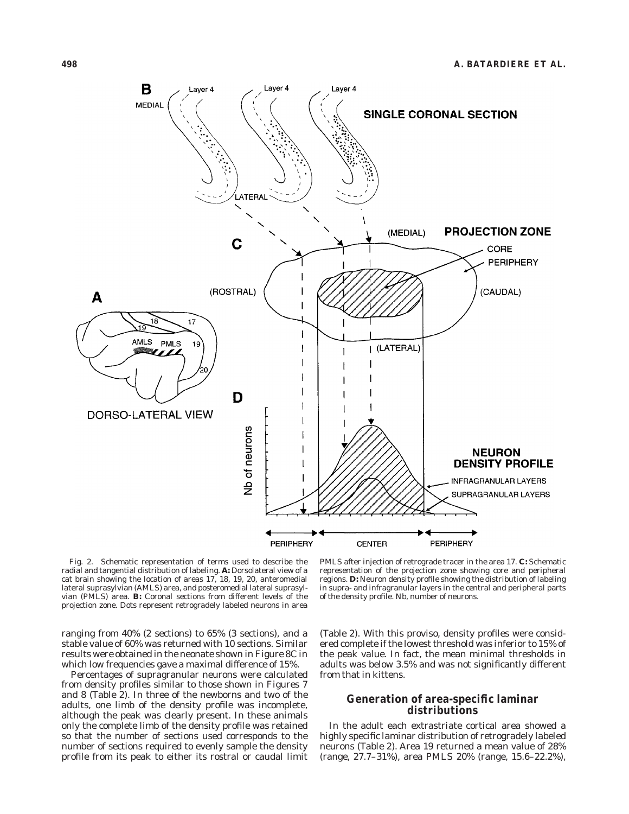

Fig. 2. Schematic representation of terms used to describe the radial and tangential distribution of labeling. **A:** Dorsolateral view of a cat brain showing the location of areas 17, 18, 19, 20, anteromedial lateral suprasylvian (AMLS) area, and posteromedial lateral suprasylvian (PMLS) area. **B:** Coronal sections from different levels of the projection zone. Dots represent retrogradely labeled neurons in area

PMLS after injection of retrograde tracer in the area 17. **C:** Schematic representation of the projection zone showing core and peripheral regions. **D:** Neuron density profile showing the distribution of labeling in supra- and infragranular layers in the central and peripheral parts of the density profile. Nb, number of neurons.

ranging from 40% (2 sections) to 65% (3 sections), and a stable value of 60% was returned with 10 sections. Similar results were obtained in the neonate shown in Figure 8C in which low frequencies gave a maximal difference of 15%.

Percentages of supragranular neurons were calculated from density profiles similar to those shown in Figures 7 and 8 (Table 2). In three of the newborns and two of the adults, one limb of the density profile was incomplete, although the peak was clearly present. In these animals only the complete limb of the density profile was retained so that the number of sections used corresponds to the number of sections required to evenly sample the density profile from its peak to either its rostral or caudal limit

(Table 2). With this proviso, density profiles were considered complete if the lowest threshold was inferior to 15% of the peak value. In fact, the mean minimal thresholds in adults was below 3.5% and was not significantly different from that in kittens.

## **Generation of area-specific laminar distributions**

In the adult each extrastriate cortical area showed a highly specific laminar distribution of retrogradely labeled neurons (Table 2). Area 19 returned a mean value of 28% (range, 27.7–31%), area PMLS 20% (range, 15.6–22.2%),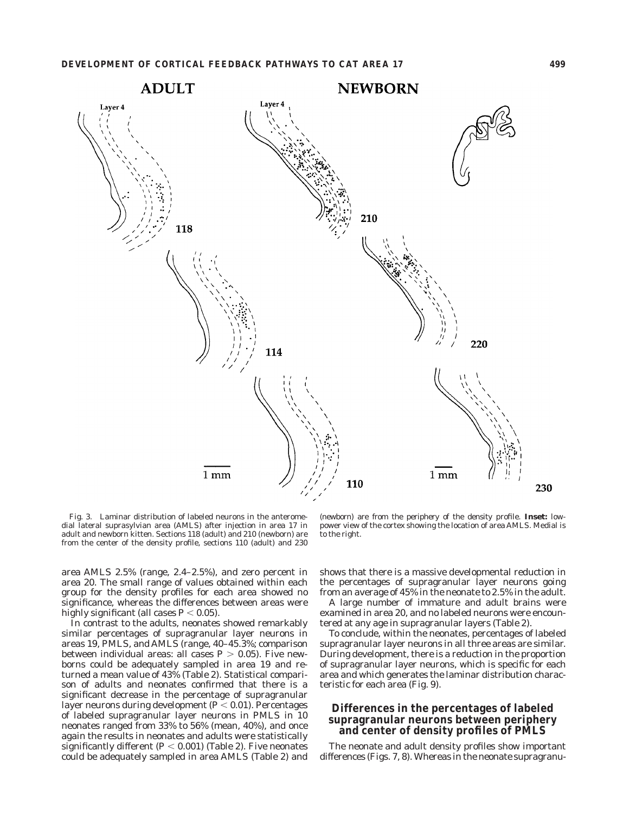

Fig. 3. Laminar distribution of labeled neurons in the anteromedial lateral suprasylvian area (AMLS) after injection in area 17 in adult and newborn kitten. Sections 118 (adult) and 210 (newborn) are from the center of the density profile, sections 110 (adult) and 230

(newborn) are from the periphery of the density profile. **Inset:** lowpower view of the cortex showing the location of area AMLS. Medial is to the right.

area AMLS 2.5% (range, 2.4–2.5%), and zero percent in area 20. The small range of values obtained within each group for the density profiles for each area showed no significance, whereas the differences between areas were highly significant (all cases  $P < 0.05$ ).

In contrast to the adults, neonates showed remarkably similar percentages of supragranular layer neurons in areas 19, PMLS, and AMLS (range, 40–45.3%; comparison between individual areas: all cases  $P > 0.05$ ). Five newborns could be adequately sampled in area 19 and returned a mean value of 43% (Table 2). Statistical comparison of adults and neonates confirmed that there is a significant decrease in the percentage of supragranular layer neurons during development  $(P < 0.01)$ . Percentages of labeled supragranular layer neurons in PMLS in 10 neonates ranged from 33% to 56% (mean, 40%), and once again the results in neonates and adults were statistically significantly different  $(P < 0.001)$  (Table 2). Five neonates could be adequately sampled in area AMLS (Table 2) and shows that there is a massive developmental reduction in the percentages of supragranular layer neurons going from an average of 45% in the neonate to 2.5% in the adult.

A large number of immature and adult brains were examined in area 20, and no labeled neurons were encountered at any age in supragranular layers (Table 2).

To conclude, within the neonates, percentages of labeled supragranular layer neurons in all three areas are similar. During development, there is a reduction in the proportion of supragranular layer neurons, which is specific for each area and which generates the laminar distribution characteristic for each area (Fig. 9).

## **Differences in the percentages of labeled supragranular neurons between periphery and center of density profiles of PMLS**

The neonate and adult density profiles show important differences (Figs. 7, 8). Whereas in the neonate supragranu-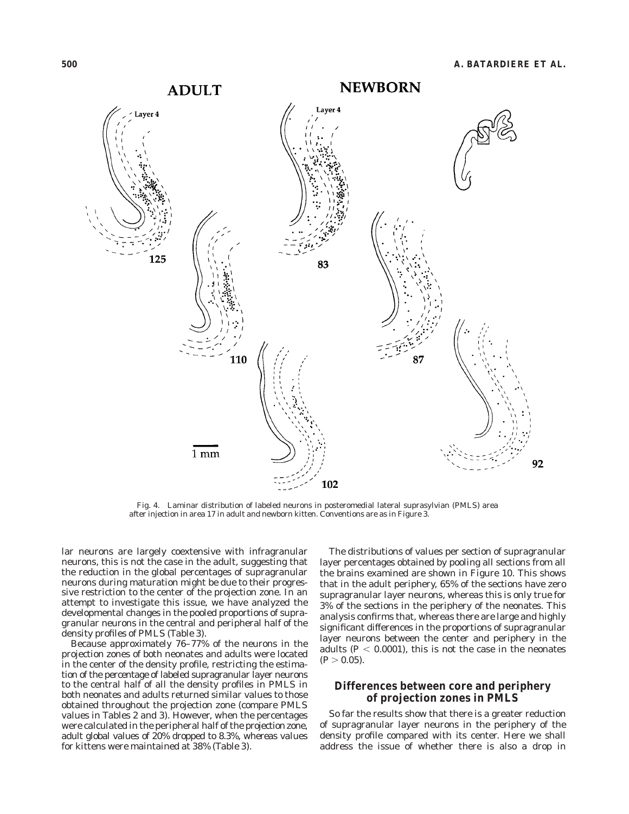

Fig. 4. Laminar distribution of labeled neurons in posteromedial lateral suprasylvian (PMLS) area after injection in area 17 in adult and newborn kitten. Conventions are as in Figure 3.

lar neurons are largely coextensive with infragranular neurons, this is not the case in the adult, suggesting that the reduction in the global percentages of supragranular neurons during maturation might be due to their progressive restriction to the center of the projection zone. In an attempt to investigate this issue, we have analyzed the developmental changes in the pooled proportions of supragranular neurons in the central and peripheral half of the density profiles of PMLS (Table 3).

Because approximately 76–77% of the neurons in the projection zones of both neonates and adults were located in the center of the density profile, restricting the estimation of the percentage of labeled supragranular layer neurons to the central half of all the density profiles in PMLS in both neonates and adults returned similar values to those obtained throughout the projection zone (compare PMLS values in Tables 2 and 3). However, when the percentages were calculated in the peripheral half of the projection zone, adult global values of 20% dropped to 8.3%, whereas values for kittens were maintained at 38% (Table 3).

The distributions of values per section of supragranular layer percentages obtained by pooling all sections from all the brains examined are shown in Figure 10. This shows that in the adult periphery, 65% of the sections have zero supragranular layer neurons, whereas this is only true for 3% of the sections in the periphery of the neonates. This analysis confirms that, whereas there are large and highly significant differences in the proportions of supragranular layer neurons between the center and periphery in the adults  $(P < 0.0001)$ , this is not the case in the neonates  $(P > 0.05)$ .

## **Differences between core and periphery of projection zones in PMLS**

So far the results show that there is a greater reduction of supragranular layer neurons in the periphery of the density profile compared with its center. Here we shall address the issue of whether there is also a drop in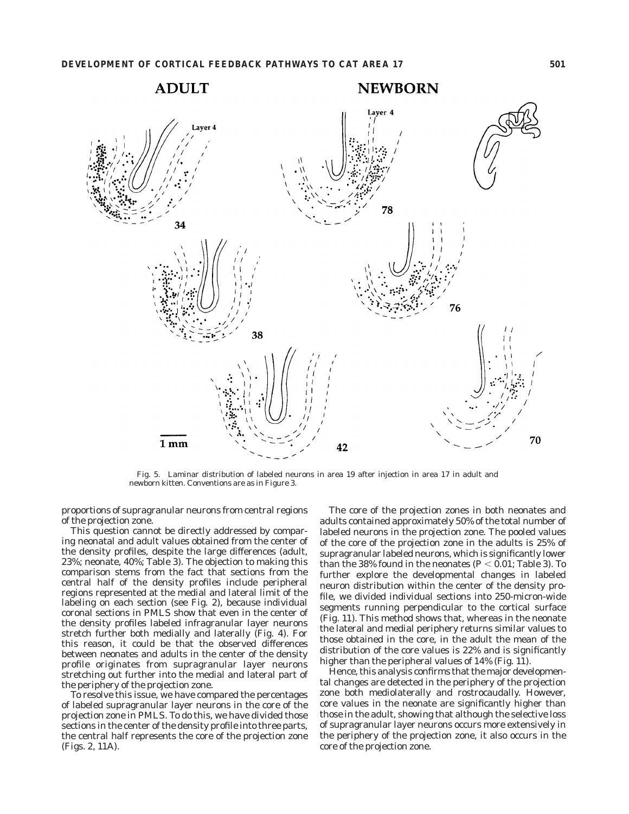

Fig. 5. Laminar distribution of labeled neurons in area 19 after injection in area 17 in adult and newborn kitten. Conventions are as in Figure 3.

proportions of supragranular neurons from central regions of the projection zone.

This question cannot be directly addressed by comparing neonatal and adult values obtained from the center of the density profiles, despite the large differences (adult, 23%; neonate, 40%; Table 3). The objection to making this comparison stems from the fact that sections from the central half of the density profiles include peripheral regions represented at the medial and lateral limit of the labeling on each section (see Fig. 2), because individual coronal sections in PMLS show that even in the center of the density profiles labeled infragranular layer neurons stretch further both medially and laterally (Fig. 4). For this reason, it could be that the observed differences between neonates and adults in the center of the density profile originates from supragranular layer neurons stretching out further into the medial and lateral part of the periphery of the projection zone.

To resolve this issue, we have compared the percentages of labeled supragranular layer neurons in the core of the projection zone in PMLS. To do this, we have divided those sections in the center of the density profile into three parts, the central half represents the core of the projection zone (Figs. 2, 11A).

The core of the projection zones in both neonates and adults contained approximately 50% of the total number of labeled neurons in the projection zone. The pooled values of the core of the projection zone in the adults is 25% of supragranular labeled neurons, which is significantly lower than the 38% found in the neonates ( $P < 0.01$ ; Table 3). To further explore the developmental changes in labeled neuron distribution within the center of the density profile, we divided individual sections into 250-micron-wide segments running perpendicular to the cortical surface (Fig. 11). This method shows that, whereas in the neonate the lateral and medial periphery returns similar values to those obtained in the core, in the adult the mean of the distribution of the core values is 22% and is significantly higher than the peripheral values of 14% (Fig. 11).

Hence, this analysis confirms that the major developmental changes are detected in the periphery of the projection zone both mediolaterally and rostrocaudally. However, core values in the neonate are significantly higher than those in the adult, showing that although the selective loss of supragranular layer neurons occurs more extensively in the periphery of the projection zone, it also occurs in the core of the projection zone.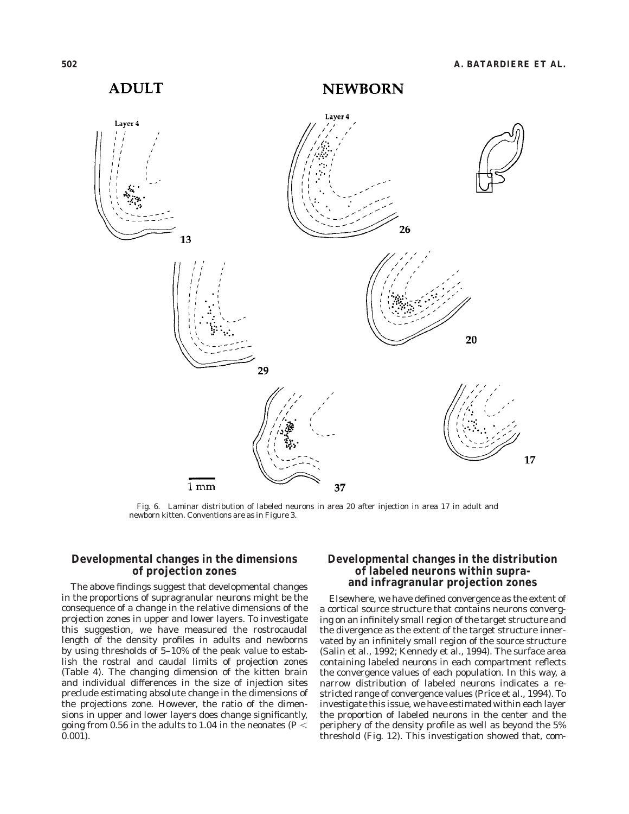# **ADULT**



Fig. 6. Laminar distribution of labeled neurons in area 20 after injection in area 17 in adult and newborn kitten. Conventions are as in Figure 3.

# **Developmental changes in the dimensions of projection zones**

The above findings suggest that developmental changes in the proportions of supragranular neurons might be the consequence of a change in the relative dimensions of the projection zones in upper and lower layers. To investigate this suggestion, we have measured the rostrocaudal length of the density profiles in adults and newborns by using thresholds of 5–10% of the peak value to establish the rostral and caudal limits of projection zones (Table 4). The changing dimension of the kitten brain and individual differences in the size of injection sites preclude estimating absolute change in the dimensions of the projections zone. However, the ratio of the dimensions in upper and lower layers does change significantly, going from 0.56 in the adults to 1.04 in the neonates ( $P$  <  $(0.001)$ .

## **Developmental changes in the distribution of labeled neurons within supraand infragranular projection zones**

Elsewhere, we have defined convergence as the extent of a cortical source structure that contains neurons converging on an infinitely small region of the target structure and the divergence as the extent of the target structure innervated by an infinitely small region of the source structure (Salin et al., 1992; Kennedy et al., 1994). The surface area containing labeled neurons in each compartment reflects the convergence values of each population. In this way, a narrow distribution of labeled neurons indicates a restricted range of convergence values (Price et al., 1994). To investigate this issue, we have estimated within each layer the proportion of labeled neurons in the center and the periphery of the density profile as well as beyond the 5% threshold (Fig. 12). This investigation showed that, com-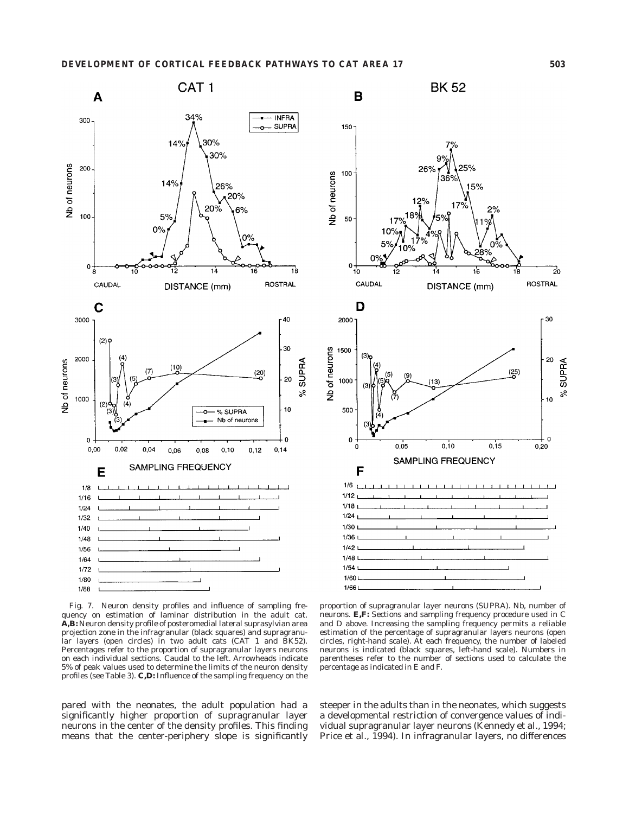![](_page_10_Figure_1.jpeg)

Fig. 7. Neuron density profiles and influence of sampling frequency on estimation of laminar distribution in the adult cat. **A,B:** Neuron density profile of posteromedial lateral suprasylvian area projection zone in the infragranular (black squares) and supragranular layers (open circles) in two adult cats (CAT 1 and BK52). Percentages refer to the proportion of supragranular layers neurons on each individual sections. Caudal to the left. Arrowheads indicate 5% of peak values used to determine the limits of the neuron density profiles (see Table 3). **C,D:** Influence of the sampling frequency on the

pared with the neonates, the adult population had a significantly higher proportion of supragranular layer neurons in the center of the density profiles. This finding means that the center-periphery slope is significantly

![](_page_10_Figure_4.jpeg)

proportion of supragranular layer neurons (SUPRA). Nb, number of neurons. **E,F:** Sections and sampling frequency procedure used in C and D above. Increasing the sampling frequency permits a reliable estimation of the percentage of supragranular layers neurons (open circles, right-hand scale). At each frequency, the number of labeled neurons is indicated (black squares, left-hand scale). Numbers in parentheses refer to the number of sections used to calculate the percentage as indicated in E and F.

steeper in the adults than in the neonates, which suggests a developmental restriction of convergence values of individual supragranular layer neurons (Kennedy et al., 1994; Price et al., 1994). In infragranular layers, no differences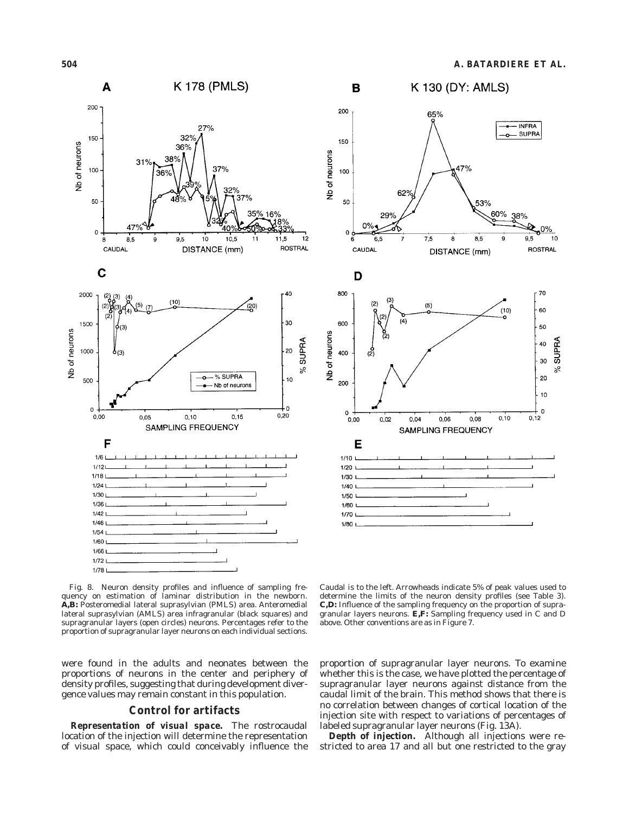![](_page_11_Figure_1.jpeg)

![](_page_11_Figure_3.jpeg)

![](_page_11_Figure_4.jpeg)

Fig. 8. Neuron density profiles and influence of sampling frequency on estimation of laminar distribution in the newborn. **A,B:** Posteromedial lateral suprasylvian (PMLS) area. Anteromedial lateral suprasylvian (AMLS) area infragranular (black squares) and supragranular layers (open circles) neurons. Percentages refer to the proportion of supragranular layer neurons on each individual sections.

were found in the adults and neonates between the proportions of neurons in the center and periphery of density profiles, suggesting that during development divergence values may remain constant in this population.

#### **Control for artifacts**

*Representation of visual space.* The rostrocaudal location of the injection will determine the representation of visual space, which could conceivably influence the

Caudal is to the left. Arrowheads indicate 5% of peak values used to determine the limits of the neuron density profiles (see Table 3). **C,D:** Influence of the sampling frequency on the proportion of supragranular layers neurons. **E,F:** Sampling frequency used in C and D above. Other conventions are as in Figure 7.

proportion of supragranular layer neurons. To examine whether this is the case, we have plotted the percentage of supragranular layer neurons against distance from the caudal limit of the brain. This method shows that there is no correlation between changes of cortical location of the injection site with respect to variations of percentages of labeled supragranular layer neurons (Fig. 13A).

*Depth of injection.* Although all injections were restricted to area 17 and all but one restricted to the gray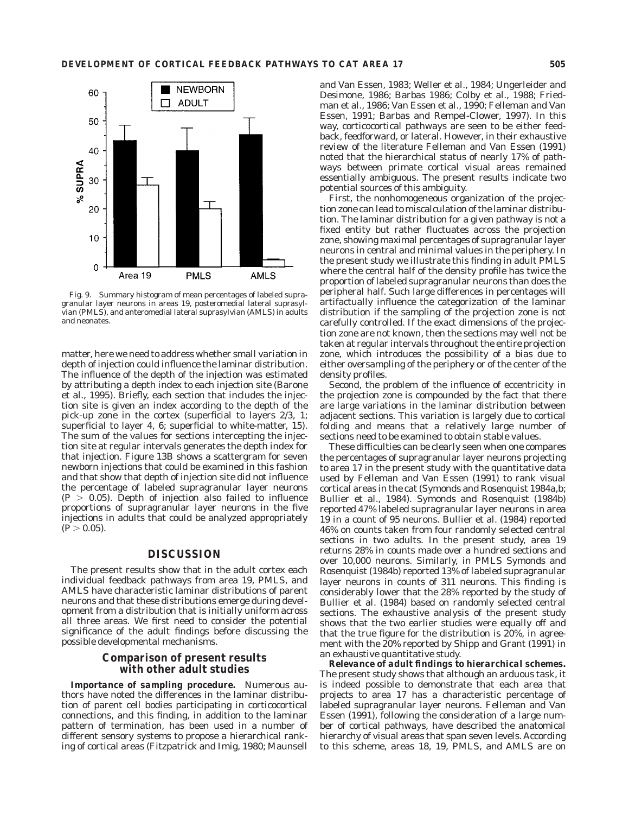![](_page_12_Figure_1.jpeg)

Fig. 9. Summary histogram of mean percentages of labeled supragranular layer neurons in areas 19, posteromedial lateral suprasylvian (PMLS), and anteromedial lateral suprasylvian (AMLS) in adults and neonates.

matter, here we need to address whether small variation in depth of injection could influence the laminar distribution. The influence of the depth of the injection was estimated by attributing a depth index to each injection site (Barone et al., 1995). Briefly, each section that includes the injection site is given an index according to the depth of the pick-up zone in the cortex (superficial to layers 2/3, 1; superficial to layer 4, 6; superficial to white-matter, 15). The sum of the values for sections intercepting the injection site at regular intervals generates the depth index for that injection. Figure 13B shows a scattergram for seven newborn injections that could be examined in this fashion and that show that depth of injection site did not influence the percentage of labeled supragranular layer neurons  $(P > 0.05)$ . Depth of injection also failed to influence proportions of supragranular layer neurons in the five injections in adults that could be analyzed appropriately  $(P > 0.05)$ .

#### **DISCUSSION**

The present results show that in the adult cortex each individual feedback pathways from area 19, PMLS, and AMLS have characteristic laminar distributions of parent neurons and that these distributions emerge during development from a distribution that is initially uniform across all three areas. We first need to consider the potential significance of the adult findings before discussing the possible developmental mechanisms.

#### **Comparison of present results with other adult studies**

*Importance of sampling procedure.* Numerous authors have noted the differences in the laminar distribution of parent cell bodies participating in corticocortical connections, and this finding, in addition to the laminar pattern of termination, has been used in a number of different sensory systems to propose a hierarchical ranking of cortical areas (Fitzpatrick and Imig, 1980; Maunsell and Van Essen, 1983; Weller et al., 1984; Ungerleider and Desimone, 1986; Barbas 1986; Colby et al., 1988; Friedman et al., 1986; Van Essen et al., 1990; Felleman and Van Essen, 1991; Barbas and Rempel-Clower, 1997). In this way, corticocortical pathways are seen to be either feedback, feedforward, or lateral. However, in their exhaustive review of the literature Felleman and Van Essen (1991) noted that the hierarchical status of nearly 17% of pathways between primate cortical visual areas remained essentially ambiguous. The present results indicate two potential sources of this ambiguity.

First, the nonhomogeneous organization of the projection zone can lead to miscalculation of the laminar distribution. The laminar distribution for a given pathway is not a fixed entity but rather fluctuates across the projection zone, showing maximal percentages of supragranular layer neurons in central and minimal values in the periphery. In the present study we illustrate this finding in adult PMLS where the central half of the density profile has twice the proportion of labeled supragranular neurons than does the peripheral half. Such large differences in percentages will artifactually influence the categorization of the laminar distribution if the sampling of the projection zone is not carefully controlled. If the exact dimensions of the projection zone are not known, then the sections may well not be taken at regular intervals throughout the entire projection zone, which introduces the possibility of a bias due to either oversampling of the periphery or of the center of the density profiles.

Second, the problem of the influence of eccentricity in the projection zone is compounded by the fact that there are large variations in the laminar distribution between adjacent sections. This variation is largely due to cortical folding and means that a relatively large number of sections need to be examined to obtain stable values.

These difficulties can be clearly seen when one compares the percentages of supragranular layer neurons projecting to area 17 in the present study with the quantitative data used by Felleman and Van Essen (1991) to rank visual cortical areas in the cat (Symonds and Rosenquist 1984a,b; Bullier et al., 1984). Symonds and Rosenquist (1984b) reported 47% labeled supragranular layer neurons in area 19 in a count of 95 neurons. Bullier et al. (1984) reported 46% on counts taken from four randomly selected central sections in two adults. In the present study, area 19 returns 28% in counts made over a hundred sections and over 10,000 neurons. Similarly, in PMLS Symonds and Rosenquist (1984b) reported 13% of labeled supragranular layer neurons in counts of 311 neurons. This finding is considerably lower that the 28% reported by the study of Bullier et al. (1984) based on randomly selected central sections. The exhaustive analysis of the present study shows that the two earlier studies were equally off and that the true figure for the distribution is 20%, in agreement with the 20% reported by Shipp and Grant (1991) in an exhaustive quantitative study.

*Relevance of adult findings to hierarchical schemes.* The present study shows that although an arduous task, it is indeed possible to demonstrate that each area that projects to area 17 has a characteristic percentage of labeled supragranular layer neurons. Felleman and Van Essen (1991), following the consideration of a large number of cortical pathways, have described the anatomical hierarchy of visual areas that span seven levels. According to this scheme, areas 18, 19, PMLS, and AMLS are on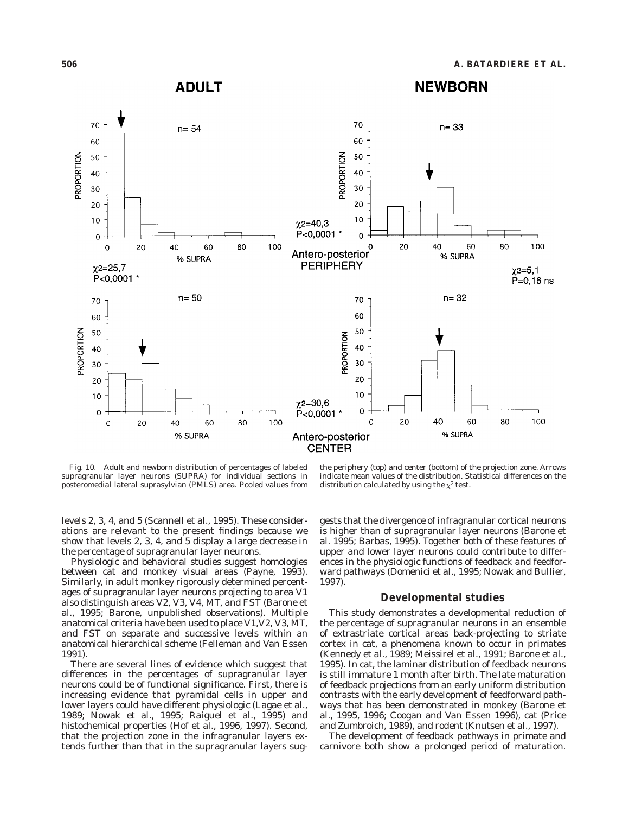**NEWBORN** 

![](_page_13_Figure_1.jpeg)

![](_page_13_Figure_2.jpeg)

Fig. 10. Adult and newborn distribution of percentages of labeled supragranular layer neurons (SUPRA) for individual sections in posteromedial lateral suprasylvian (PMLS) area. Pooled values from

the periphery (top) and center (bottom) of the projection zone. Arrows indicate mean values of the distribution. Statistical differences on the distribution calculated by using the  $\chi^2$  test.

levels 2, 3, 4, and 5 (Scannell et al., 1995). These considerations are relevant to the present findings because we show that levels 2, 3, 4, and 5 display a large decrease in the percentage of supragranular layer neurons.

Physiologic and behavioral studies suggest homologies between cat and monkey visual areas (Payne, 1993). Similarly, in adult monkey rigorously determined percentages of supragranular layer neurons projecting to area V1 also distinguish areas V2, V3, V4, MT, and FST (Barone et al., 1995; Barone, unpublished observations). Multiple anatomical criteria have been used to place V1,V2, V3, MT, and FST on separate and successive levels within an anatomical hierarchical scheme (Felleman and Van Essen 1991).

There are several lines of evidence which suggest that differences in the percentages of supragranular layer neurons could be of functional significance. First, there is increasing evidence that pyramidal cells in upper and lower layers could have different physiologic (Lagae et al., 1989; Nowak et al., 1995; Raiguel et al., 1995) and histochemical properties (Hof et al., 1996, 1997). Second, that the projection zone in the infragranular layers extends further than that in the supragranular layers sug-

gests that the divergence of infragranular cortical neurons is higher than of supragranular layer neurons (Barone et al. 1995; Barbas, 1995). Together both of these features of upper and lower layer neurons could contribute to differences in the physiologic functions of feedback and feedforward pathways (Domenici et al., 1995; Nowak and Bullier, 1997).

#### **Developmental studies**

This study demonstrates a developmental reduction of the percentage of supragranular neurons in an ensemble of extrastriate cortical areas back-projecting to striate cortex in cat, a phenomena known to occur in primates (Kennedy et al., 1989; Meissirel et al., 1991; Barone et al., 1995). In cat, the laminar distribution of feedback neurons is still immature 1 month after birth. The late maturation of feedback projections from an early uniform distribution contrasts with the early development of feedforward pathways that has been demonstrated in monkey (Barone et al., 1995, 1996; Coogan and Van Essen 1996), cat (Price and Zumbroich, 1989), and rodent (Knutsen et al., 1997).

The development of feedback pathways in primate and carnivore both show a prolonged period of maturation.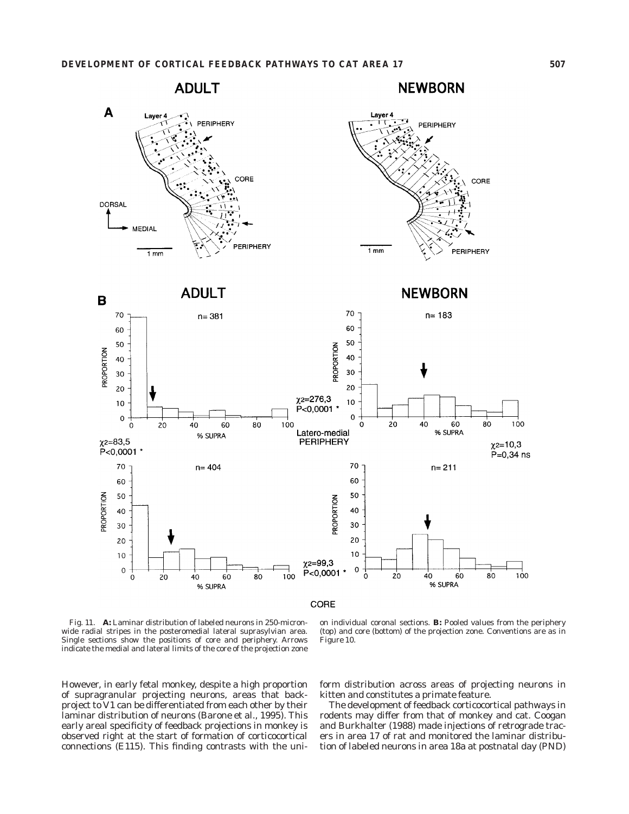![](_page_14_Figure_1.jpeg)

Fig. 11. **A:** Laminar distribution of labeled neurons in 250-micronwide radial stripes in the posteromedial lateral suprasylvian area. Single sections show the positions of core and periphery. Arrows indicate the medial and lateral limits of the core of the projection zone

on individual coronal sections. **B:** Pooled values from the periphery (top) and core (bottom) of the projection zone. Conventions are as in Figure 10.

However, in early fetal monkey, despite a high proportion of supragranular projecting neurons, areas that backproject to V1 can be differentiated from each other by their laminar distribution of neurons (Barone et al., 1995). This early areal specificity of feedback projections in monkey is observed right at the start of formation of corticocortical connections (E115). This finding contrasts with the uniform distribution across areas of projecting neurons in kitten and constitutes a primate feature.

The development of feedback corticocortical pathways in rodents may differ from that of monkey and cat. Coogan and Burkhalter (1988) made injections of retrograde tracers in area 17 of rat and monitored the laminar distribution of labeled neurons in area 18a at postnatal day (PND)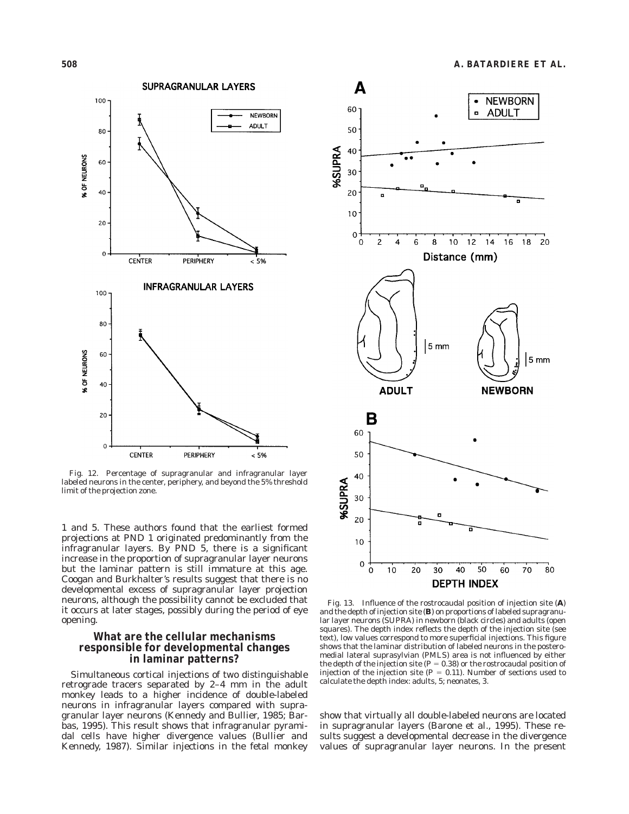![](_page_15_Figure_2.jpeg)

Fig. 12. Percentage of supragranular and infragranular layer labeled neurons in the center, periphery, and beyond the 5% threshold limit of the projection zone.

1 and 5. These authors found that the earliest formed projections at PND 1 originated predominantly from the infragranular layers. By PND 5, there is a significant increase in the proportion of supragranular layer neurons but the laminar pattern is still immature at this age. Coogan and Burkhalter's results suggest that there is no developmental excess of supragranular layer projection neurons, although the possibility cannot be excluded that it occurs at later stages, possibly during the period of eye opening.

#### **What are the cellular mechanisms responsible for developmental changes in laminar patterns?**

Simultaneous cortical injections of two distinguishable retrograde tracers separated by 2–4 mm in the adult monkey leads to a higher incidence of double-labeled neurons in infragranular layers compared with supragranular layer neurons (Kennedy and Bullier, 1985; Barbas, 1995). This result shows that infragranular pyramidal cells have higher divergence values (Bullier and Kennedy, 1987). Similar injections in the fetal monkey

![](_page_15_Figure_7.jpeg)

Fig. 13. Influence of the rostrocaudal position of injection site (**A**) and the depth of injection site (**B**) on proportions of labeled supragranular layer neurons (SUPRA) in newborn (black circles) and adults (open squares). The depth index reflects the depth of the injection site (see text), low values correspond to more superficial injections. This figure shows that the laminar distribution of labeled neurons in the posteromedial lateral suprasylvian (PMLS) area is not influenced by either the depth of the injection site  $(P = 0.38)$  or the rostrocaudal position of injection of the injection site ( $P = 0.11$ ). Number of sections used to calculate the depth index: adults, 5; neonates, 3.

show that virtually all double-labeled neurons are located in supragranular layers (Barone et al., 1995). These results suggest a developmental decrease in the divergence values of supragranular layer neurons. In the present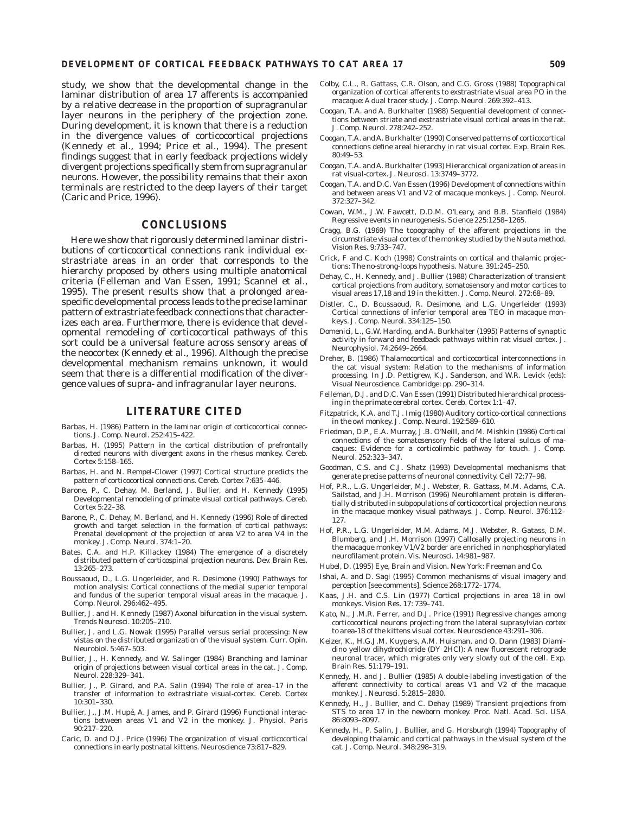study, we show that the developmental change in the laminar distribution of area 17 afferents is accompanied by a relative decrease in the proportion of supragranular layer neurons in the periphery of the projection zone. During development, it is known that there is a reduction in the divergence values of corticocortical projections (Kennedy et al., 1994; Price et al., 1994). The present findings suggest that in early feedback projections widely divergent projections specifically stem from supragranular neurons. However, the possibility remains that their axon terminals are restricted to the deep layers of their target (Caric and Price, 1996).

#### **CONCLUSIONS**

Here we show that rigorously determined laminar distributions of corticocortical connections rank individual exstrastriate areas in an order that corresponds to the hierarchy proposed by others using multiple anatomical criteria (Felleman and Van Essen, 1991; Scannel et al., 1995). The present results show that a prolonged areaspecific developmental process leads to the precise laminar pattern of extrastriate feedback connections that characterizes each area. Furthermore, there is evidence that developmental remodeling of corticocortical pathways of this sort could be a universal feature across sensory areas of the neocortex (Kennedy et al., 1996). Although the precise developmental mechanism remains unknown, it would seem that there is a differential modification of the divergence values of supra- and infragranular layer neurons.

#### **LITERATURE CITED**

- Barbas, H. (1986) Pattern in the laminar origin of corticocortical connections. J. Comp. Neurol. *252:*415–422.
- Barbas, H. (1995) Pattern in the cortical distribution of prefrontally directed neurons with divergent axons in the rhesus monkey. Cereb. Cortex *5:*158–165.
- Barbas, H. and N. Rempel-Clower (1997) Cortical structure predicts the pattern of corticocortical connections. Cereb. Cortex *7:*635–446.
- Barone, P., C. Dehay, M. Berland, J. Bullier, and H. Kennedy (1995) Developmental remodeling of primate visual cortical pathways. Cereb. Cortex *5:*22–38.
- Barone, P., C. Dehay, M. Berland, and H. Kennedy (1996) Role of directed growth and target selection in the formation of cortical pathways: Prenatal development of the projection of area V2 to area V4 in the monkey. J. Comp. Neurol. *374:*1–20.
- Bates, C.A. and H.P. Killackey (1984) The emergence of a discretely distributed pattern of corticospinal projection neurons. Dev. Brain Res. *13:*265–273.
- Boussaoud, D., L.G. Ungerleider, and R. Desimone (1990) Pathways for motion analysis: Cortical connections of the medial superior temporal and fundus of the superior temporal visual areas in the macaque. J. Comp. Neurol. *296:*462–495.
- Bullier, J. and H. Kennedy (1987) Axonal bifurcation in the visual system. Trends Neurosci. *10:*205–210.
- Bullier, J. and L.G. Nowak (1995) Parallel versus serial processing: New vistas on the distributed organization of the visual system. Curr. Opin. Neurobiol. *5:*467–503.
- Bullier, J., H. Kennedy, and W. Salinger (1984) Branching and laminar origin of projections between visual cortical areas in the cat. J. Comp. Neurol. *228:*329–341.
- Bullier, J., P. Girard, and P.A. Salin (1994) The role of area–17 in the transfer of information to extrastriate visual-cortex. Cereb. Cortex *10:*301–330.
- Bullier, J., J.M. Hupé, A. James, and P. Girard (1996) Functional interactions between areas V1 and V2 in the monkey. J. Physiol. Paris *90:*217–220.
- Caric, D. and D.J. Price (1996) The organization of visual corticocortical connections in early postnatal kittens. Neuroscience *73:*817–829.
- Colby, C.L., R. Gattass, C.R. Olson, and C.G. Gross (1988) Topographical organization of cortical afferents to exstrastriate visual area PO in the macaque: A dual tracer study. J. Comp. Neurol. *269:*392–413.
- Coogan, T.A. and A. Burkhalter (1988) Sequential development of connections between striate and exstrastriate visual cortical areas in the rat. J. Comp. Neurol. *278:*242–252.
- Coogan, T.A. and A. Burkhalter (1990) Conserved patterns of corticocortical connections define areal hierarchy in rat visual cortex. Exp. Brain Res. *80:*49–53.
- Coogan, T.A. and A. Burkhalter (1993) Hierarchical organization of areas in rat visual-cortex. J. Neurosci. *13:*3749–3772.
- Coogan, T.A. and D.C. Van Essen (1996) Development of connections within and between areas V1 and V2 of macaque monkeys. J. Comp. Neurol. *372:*327–342.
- Cowan, W.M., J.W. Fawcett, D.D.M. O'Leary, and B.B. Stanfield (1984) Regressive events in neurogenesis. Science *225:*1258–1265.
- Cragg, B.G. (1969) The topography of the afferent projections in the circumstriate visual cortex of the monkey studied by the Nauta method. Vision Res. *9:*733–747.
- Crick, F and C. Koch (1998) Constraints on cortical and thalamic projections: The no-strong-loops hypothesis. Nature. *391:*245–250.
- Dehay, C., H. Kennedy, and J. Bullier (1988) Characterization of transient cortical projections from auditory, somatosensory and motor cortices to visual areas 17,18 and 19 in the kitten. J. Comp. Neurol. *272:*68–89.
- Distler, C., D. Boussaoud, R. Desimone, and L.G. Ungerleider (1993) Cortical connections of inferior temporal area TEO in macaque monkeys. J. Comp. Neurol. *334:*125–150.
- Domenici, L., G.W. Harding, and A. Burkhalter (1995) Patterns of synaptic activity in forward and feedback pathways within rat visual cortex. J. Neurophysiol. *74:*2649–2664.
- Dreher, B. (1986) Thalamocortical and corticocortical interconnections in the cat visual system: Relation to the mechanisms of information processing. In J.D. Pettigrew, K.J. Sanderson, and W.R. Levick (eds): Visual Neuroscience. Cambridge: pp. 290–314.
- Felleman, D.J. and D.C. Van Essen (1991) Distributed hierarchical processing in the primate cerebral cortex. Cereb. Cortex *1:*1–47.
- Fitzpatrick, K.A. and T.J. Imig (1980) Auditory cortico-cortical connections in the owl monkey. J. Comp. Neurol. *192:*589–610.
- Friedman, D.P., E.A. Murray, J.B. O'Neill, and M. Mishkin (1986) Cortical connections of the somatosensory fields of the lateral sulcus of macaques: Evidence for a corticolimbic pathway for touch. J. Comp. Neurol. *252:*323–347.
- Goodman, C.S. and C.J. Shatz (1993) Developmental mechanisms that generate precise patterns of neuronal connectivity. Cell *72:*77–98.
- Hof, P.R., L.G. Ungerleider, M.J. Webster, R. Gattass, M.M. Adams, C.A. Sailstad, and J.H. Morrison (1996) Neurofilament protein is differentially distributed in subpopulations of corticocortical projection neurons in the macaque monkey visual pathways. J. Comp. Neurol. *376:*112– 127.
- Hof, P.R., L.G. Ungerleider, M.M. Adams, M.J. Webster, R. Gatass, D.M. Blumberg, and J.H. Morrison (1997) Callosally projecting neurons in the macaque monkey V1/V2 border are enriched in nonphosphorylated neurofilament protein. Vis. Neurosci. *14:*981–987.
- Hubel, D. (1995) Eye, Brain and Vision. New York: Freeman and Co.
- Ishai, A. and D. Sagi (1995) Common mechanisms of visual imagery and perception [see comments]. Science *268:*1772–1774.
- Kaas, J.H. and C.S. Lin (1977) Cortical projections in area 18 in owl monkeys. Vision Res. *17:* 739–741.
- Kato, N., J.M.R. Ferrer, and D.J. Price (1991) Regressive changes among corticocortical neurons projecting from the lateral suprasylvian cortex to area-18 of the kittens visual cortex. Neuroscience *43:*291–306.
- Keizer, K., H.G.J.M. Kuypers, A.M. Huisman, and O. Dann (1983) Diamidino yellow dihydrochloride (DY 2HCl): A new fluorescent retrograde neuronal tracer, which migrates only very slowly out of the cell. Exp. Brain Res. *51:*179–191.
- Kennedy, H. and J. Bullier (1985) A double-labeling investigation of the afferent connectivity to cortical areas V1 and V2 of the macaque monkey. J. Neurosci. *5:*2815–2830.
- Kennedy, H., J. Bullier, and C. Dehay (1989) Transient projections from STS to area 17 in the newborn monkey. Proc. Natl. Acad. Sci. USA *86:*8093–8097.
- Kennedy, H., P. Salin, J. Bullier, and G. Horsburgh (1994) Topography of developing thalamic and cortical pathways in the visual system of the cat. J. Comp. Neurol. *348:*298–319.